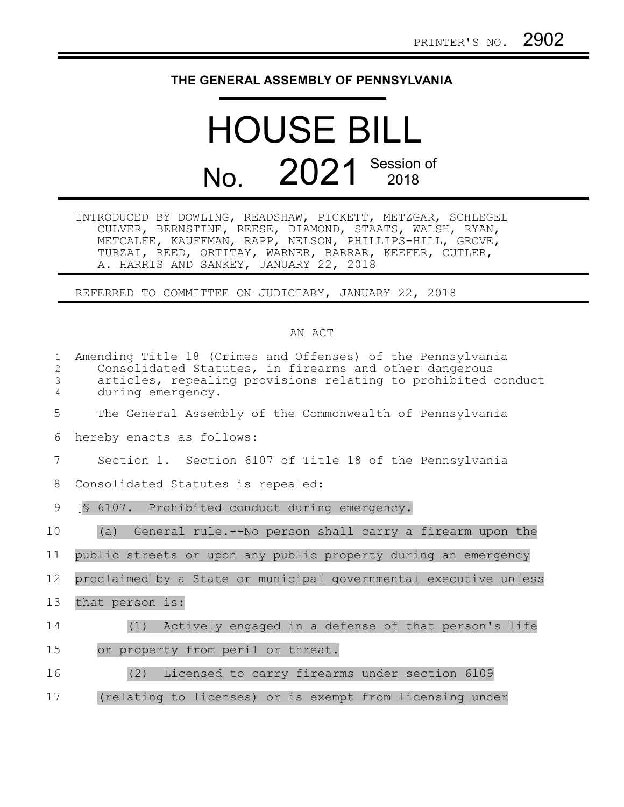## **THE GENERAL ASSEMBLY OF PENNSYLVANIA**

## HOUSE BILL No. 2021 Session of

INTRODUCED BY DOWLING, READSHAW, PICKETT, METZGAR, SCHLEGEL CULVER, BERNSTINE, REESE, DIAMOND, STAATS, WALSH, RYAN, METCALFE, KAUFFMAN, RAPP, NELSON, PHILLIPS-HILL, GROVE, TURZAI, REED, ORTITAY, WARNER, BARRAR, KEEFER, CUTLER, A. HARRIS AND SANKEY, JANUARY 22, 2018

REFERRED TO COMMITTEE ON JUDICIARY, JANUARY 22, 2018

## AN ACT

| $\mathbf{1}$<br>$\overline{2}$<br>3<br>4 | Amending Title 18 (Crimes and Offenses) of the Pennsylvania<br>Consolidated Statutes, in firearms and other dangerous<br>articles, repealing provisions relating to prohibited conduct<br>during emergency. |
|------------------------------------------|-------------------------------------------------------------------------------------------------------------------------------------------------------------------------------------------------------------|
| 5                                        | The General Assembly of the Commonwealth of Pennsylvania                                                                                                                                                    |
| 6                                        | hereby enacts as follows:                                                                                                                                                                                   |
| 7                                        | Section 1. Section 6107 of Title 18 of the Pennsylvania                                                                                                                                                     |
| 8                                        | Consolidated Statutes is repealed:                                                                                                                                                                          |
| 9                                        | [§ 6107. Prohibited conduct during emergency.                                                                                                                                                               |
| 10                                       | (a)<br>General rule.--No person shall carry a firearm upon the                                                                                                                                              |
| 11                                       | public streets or upon any public property during an emergency                                                                                                                                              |
| 12                                       | proclaimed by a State or municipal governmental executive unless                                                                                                                                            |
| 13                                       | that person is:                                                                                                                                                                                             |
| 14                                       | (1)<br>Actively engaged in a defense of that person's life                                                                                                                                                  |
| 15                                       | or property from peril or threat.                                                                                                                                                                           |
| 16                                       | (2) Licensed to carry firearms under section 6109                                                                                                                                                           |
| 17                                       | (relating to licenses) or is exempt from licensing under                                                                                                                                                    |
|                                          |                                                                                                                                                                                                             |